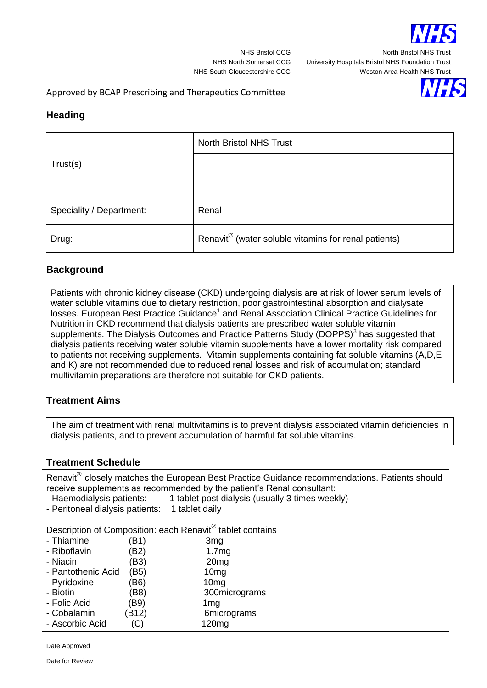

NHS Bristol CCG North Bristol NHS Trust

NHS North Somerset CCG University Hospitals Bristol NHS Foundation Trust NHS South Gloucestershire CCG Weston Area Health NHS Trust

## Approved by BCAP Prescribing and Therapeutics Committee

## **Heading**

|                          | <b>North Bristol NHS Trust</b>                       |  |
|--------------------------|------------------------------------------------------|--|
| Trust(s)                 |                                                      |  |
|                          |                                                      |  |
| Speciality / Department: | Renal                                                |  |
| Drug:                    | Renavit® (water soluble vitamins for renal patients) |  |

#### **Background**

Patients with chronic kidney disease (CKD) undergoing dialysis are at risk of lower serum levels of water soluble vitamins due to dietary restriction, poor gastrointestinal absorption and dialysate losses. European Best Practice Guidance<sup>1</sup> and Renal Association Clinical Practice Guidelines for Nutrition in CKD recommend that dialysis patients are prescribed water soluble vitamin supplements. The Dialysis Outcomes and Practice Patterns Study (DOPPS)<sup>3</sup> has suggested that dialysis patients receiving water soluble vitamin supplements have a lower mortality risk compared to patients not receiving supplements. Vitamin supplements containing fat soluble vitamins (A,D,E and K) are not recommended due to reduced renal losses and risk of accumulation; standard multivitamin preparations are therefore not suitable for CKD patients.

# **Treatment Aims**

The aim of treatment with renal multivitamins is to prevent dialysis associated vitamin deficiencies in dialysis patients, and to prevent accumulation of harmful fat soluble vitamins.

## **Treatment Schedule**

Renavit<sup>®</sup> closely matches the European Best Practice Guidance recommendations. Patients should receive supplements as recommended by the patient's Renal consultant:

- Haemodialysis patients: 1 tablet post dialysis (usually 3 times weekly)
- Peritoneal dialysis patients: 1 tablet daily

Description of Composition: each Renavit® tablet contains

| - Thiamine         | (B1)  | 3 <sub>mg</sub>   |
|--------------------|-------|-------------------|
| - Riboflavin       | (B2)  | 1.7mg             |
| - Niacin           | (B3)  | 20 <sub>mg</sub>  |
| - Pantothenic Acid | (B5)  | 10 <sub>mg</sub>  |
| - Pyridoxine       | (B6)  | 10 <sub>mg</sub>  |
| - Biotin           | (B8)  | 300micrograms     |
| - Folic Acid       | (B9)  | 1 <sub>mg</sub>   |
| - Cobalamin        | (B12) | 6micrograms       |
| - Ascorbic Acid    | (C)   | 120 <sub>mg</sub> |
|                    |       |                   |

Date Approved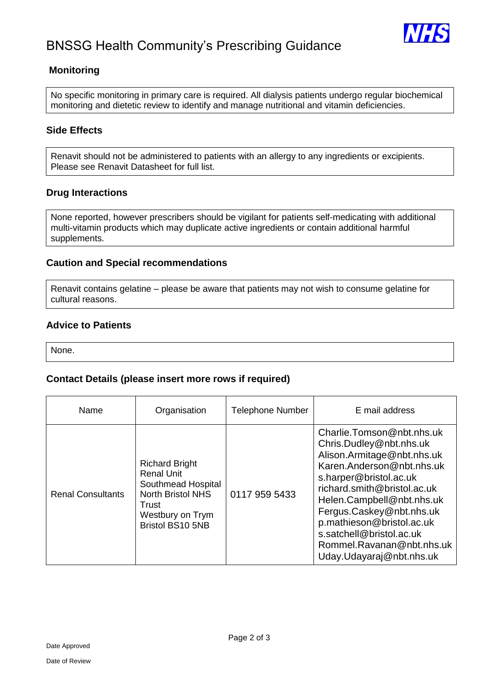



## **Monitoring**

No specific monitoring in primary care is required. All dialysis patients undergo regular biochemical monitoring and dietetic review to identify and manage nutritional and vitamin deficiencies.

## **Side Effects**

Renavit should not be administered to patients with an allergy to any ingredients or excipients. Please see Renavit Datasheet for full list.

## **Drug Interactions**

None reported, however prescribers should be vigilant for patients self-medicating with additional multi-vitamin products which may duplicate active ingredients or contain additional harmful supplements.

#### **Caution and Special recommendations**

Renavit contains gelatine – please be aware that patients may not wish to consume gelatine for cultural reasons.

## **Advice to Patients**

None.

#### **Contact Details (please insert more rows if required)**

| Name                     | Organisation                                                                                                                                         | <b>Telephone Number</b> | E mail address                                                                                                                                                                                                                                                                                                                                      |
|--------------------------|------------------------------------------------------------------------------------------------------------------------------------------------------|-------------------------|-----------------------------------------------------------------------------------------------------------------------------------------------------------------------------------------------------------------------------------------------------------------------------------------------------------------------------------------------------|
| <b>Renal Consultants</b> | <b>Richard Bright</b><br><b>Renal Unit</b><br>Southmead Hospital<br><b>North Bristol NHS</b><br>Trust<br>Westbury on Trym<br><b>Bristol BS10 5NB</b> | 0117 959 5433           | Charlie.Tomson@nbt.nhs.uk<br>Chris.Dudley@nbt.nhs.uk<br>Alison.Armitage@nbt.nhs.uk<br>Karen.Anderson@nbt.nhs.uk<br>s.harper@bristol.ac.uk<br>richard.smith@bristol.ac.uk<br>Helen.Campbell@nbt.nhs.uk<br>Fergus.Caskey@nbt.nhs.uk<br>p.mathieson@bristol.ac.uk<br>s.satchell@bristol.ac.uk<br>Rommel.Ravanan@nbt.nhs.uk<br>Uday.Udayaraj@nbt.nhs.uk |